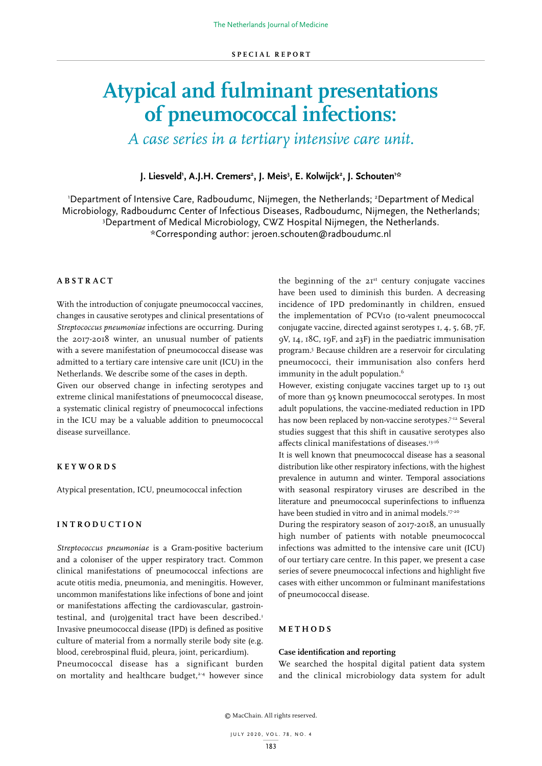# **Atypical and fulminant presentations of pneumococcal infections:**

*A case series in a tertiary intensive care unit.*

**J.** Liesveld', A.J.H. Cremers<del>'</del>, J. Meis<sup>3</sup>, E. Kolwijck', J. Schouten'\*

'Department of Intensive Care, Radboudumc, Nijmegen, the Netherlands; <sup>2</sup>Department of Medical Microbiology, Radboudumc Center of Infectious Diseases, Radboudumc, Nijmegen, the Netherlands; 3 <sup>3</sup>Department of Medical Microbiology, CWZ Hospital Nijmegen, the Netherlands. \*Corresponding author: jeroen.schouten@radboudumc.nl

# **ABSTRACT**

With the introduction of conjugate pneumococcal vaccines, changes in causative serotypes and clinical presentations of *Streptococcus pneumoniae* infections are occurring. During the 2017-2018 winter, an unusual number of patients with a severe manifestation of pneumococcal disease was admitted to a tertiary care intensive care unit (ICU) in the Netherlands. We describe some of the cases in depth.

Given our observed change in infecting serotypes and extreme clinical manifestations of pneumococcal disease, a systematic clinical registry of pneumococcal infections in the ICU may be a valuable addition to pneumococcal disease surveillance.

# **KEYWORDS**

Atypical presentation, ICU, pneumococcal infection

# **INTRODUCTION**

*Streptococcus pneumoniae* is a Gram-positive bacterium and a coloniser of the upper respiratory tract. Common clinical manifestations of pneumococcal infections are acute otitis media, pneumonia, and meningitis. However, uncommon manifestations like infections of bone and joint or manifestations affecting the cardiovascular, gastrointestinal, and (uro)genital tract have been described.<sup>1</sup> Invasive pneumococcal disease (IPD) is defined as positive culture of material from a normally sterile body site (e.g. blood, cerebrospinal fluid, pleura, joint, pericardium). Pneumococcal disease has a significant burden

on mortality and healthcare budget, $2-4$  however since

the beginning of the  $2I<sup>st</sup>$  century conjugate vaccines have been used to diminish this burden. A decreasing incidence of IPD predominantly in children, ensued the implementation of PCV10 (10-valent pneumococcal conjugate vaccine, directed against serotypes 1, 4, 5, 6B, 7F, 9V, 14, 18C, 19F, and 23F) in the paediatric immunisation program.5 Because children are a reservoir for circulating pneumococci, their immunisation also confers herd immunity in the adult population.<sup>6</sup>

However, existing conjugate vaccines target up to 13 out of more than 95 known pneumococcal serotypes. In most adult populations, the vaccine-mediated reduction in IPD has now been replaced by non-vaccine serotypes.<sup>7-12</sup> Several studies suggest that this shift in causative serotypes also affects clinical manifestations of diseases.13-16

It is well known that pneumococcal disease has a seasonal distribution like other respiratory infections, with the highest prevalence in autumn and winter. Temporal associations with seasonal respiratory viruses are described in the literature and pneumococcal superinfections to influenza have been studied in vitro and in animal models.<sup>17-20</sup>

During the respiratory season of 2017-2018, an unusually high number of patients with notable pneumococcal infections was admitted to the intensive care unit (ICU) of our tertiary care centre. In this paper, we present a case series of severe pneumococcal infections and highlight five cases with either uncommon or fulminant manifestations of pneumococcal disease.

## **METHODS**

## **Case identification and reporting**

We searched the hospital digital patient data system and the clinical microbiology data system for adult

© MacChain. All rights reserved.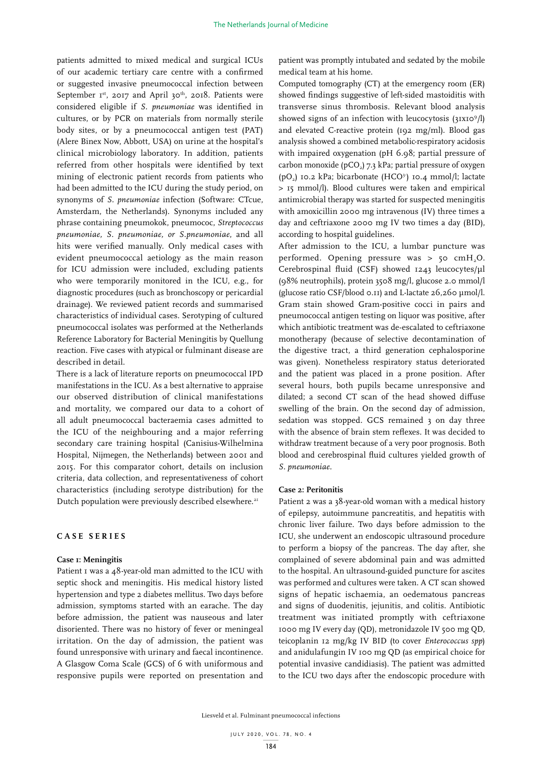patients admitted to mixed medical and surgical ICUs of our academic tertiary care centre with a confirmed or suggested invasive pneumococcal infection between September Ist, 2017 and April 30<sup>th</sup>, 2018. Patients were considered eligible if *S. pneumoniae* was identified in cultures, or by PCR on materials from normally sterile body sites, or by a pneumococcal antigen test (PAT) (Alere Binex Now, Abbott, USA) on urine at the hospital's clinical microbiology laboratory. In addition, patients referred from other hospitals were identified by text mining of electronic patient records from patients who had been admitted to the ICU during the study period, on synonyms of *S. pneumoniae* infection (Software: CTcue, Amsterdam, the Netherlands). Synonyms included any phrase containing pneumokok, pneumococ, *Streptococcus pneumoniae, S. pneumoniae, or S.pneumoniae*, and all hits were verified manually. Only medical cases with evident pneumococcal aetiology as the main reason for ICU admission were included, excluding patients who were temporarily monitored in the ICU, e.g., for diagnostic procedures (such as bronchoscopy or pericardial drainage). We reviewed patient records and summarised characteristics of individual cases. Serotyping of cultured pneumococcal isolates was performed at the Netherlands Reference Laboratory for Bacterial Meningitis by Quellung reaction. Five cases with atypical or fulminant disease are described in detail.

There is a lack of literature reports on pneumococcal IPD manifestations in the ICU. As a best alternative to appraise our observed distribution of clinical manifestations and mortality, we compared our data to a cohort of all adult pneumococcal bacteraemia cases admitted to the ICU of the neighbouring and a major referring secondary care training hospital (Canisius-Wilhelmina Hospital, Nijmegen, the Netherlands) between 2001 and 2015. For this comparator cohort, details on inclusion criteria, data collection, and representativeness of cohort characteristics (including serotype distribution) for the Dutch population were previously described elsewhere.<sup>21</sup>

## **CASE SERIES**

#### **Case 1: Meningitis**

Patient I was a 48-year-old man admitted to the ICU with septic shock and meningitis. His medical history listed hypertension and type 2 diabetes mellitus. Two days before admission, symptoms started with an earache. The day before admission, the patient was nauseous and later disoriented. There was no history of fever or meningeal irritation. On the day of admission, the patient was found unresponsive with urinary and faecal incontinence. A Glasgow Coma Scale (GCS) of 6 with uniformous and responsive pupils were reported on presentation and

patient was promptly intubated and sedated by the mobile medical team at his home.

Computed tomography (CT) at the emergency room (ER) showed findings suggestive of left-sided mastoiditis with transverse sinus thrombosis. Relevant blood analysis showed signs of an infection with leucocytosis  $(31x10<sup>9</sup>/l)$ and elevated C-reactive protein (192 mg/ml). Blood gas analysis showed a combined metabolic-respiratory acidosis with impaired oxygenation (pH 6.98; partial pressure of carbon monoxide (pCO<sub>2</sub>) 7.3 kPa; partial pressure of oxygen (pO<sub>2</sub>) 10.2 kPa; bicarbonate (HCO<sup>3</sup>) 10.4 mmol/l; lactate > 15 mmol/l). Blood cultures were taken and empirical antimicrobial therapy was started for suspected meningitis with amoxicillin 2000 mg intravenous (IV) three times a day and ceftriaxone 2000 mg IV two times a day (BID), according to hospital guidelines.

After admission to the ICU, a lumbar puncture was performed. Opening pressure was > 50 cmH<sub>2</sub>O. Cerebrospinal fluid (CSF) showed 1243 leucocytes/µl (98% neutrophils), protein 3508 mg/l, glucose 2.0 mmol/l (glucose ratio CSF/blood 0.11) and L-lactate 26,260 µmol/l. Gram stain showed Gram-positive cocci in pairs and pneumococcal antigen testing on liquor was positive, after which antibiotic treatment was de-escalated to ceftriaxone monotherapy (because of selective decontamination of the digestive tract, a third generation cephalosporine was given). Nonetheless respiratory status deteriorated and the patient was placed in a prone position. After several hours, both pupils became unresponsive and dilated; a second CT scan of the head showed diffuse swelling of the brain. On the second day of admission, sedation was stopped. GCS remained 3 on day three with the absence of brain stem reflexes. It was decided to withdraw treatment because of a very poor prognosis. Both blood and cerebrospinal fluid cultures yielded growth of *S. pneumoniae.*

#### **Case 2: Peritonitis**

Patient 2 was a 38-year-old woman with a medical history of epilepsy, autoimmune pancreatitis, and hepatitis with chronic liver failure. Two days before admission to the ICU, she underwent an endoscopic ultrasound procedure to perform a biopsy of the pancreas. The day after, she complained of severe abdominal pain and was admitted to the hospital. An ultrasound-guided puncture for ascites was performed and cultures were taken. A CT scan showed signs of hepatic ischaemia, an oedematous pancreas and signs of duodenitis, jejunitis, and colitis. Antibiotic treatment was initiated promptly with ceftriaxone 1000 mg IV every day (QD), metronidazole IV 500 mg QD, teicoplanin 12 mg/kg IV BID (to cover *Enterococcus spp*) and anidulafungin IV 100 mg QD (as empirical choice for potential invasive candidiasis). The patient was admitted to the ICU two days after the endoscopic procedure with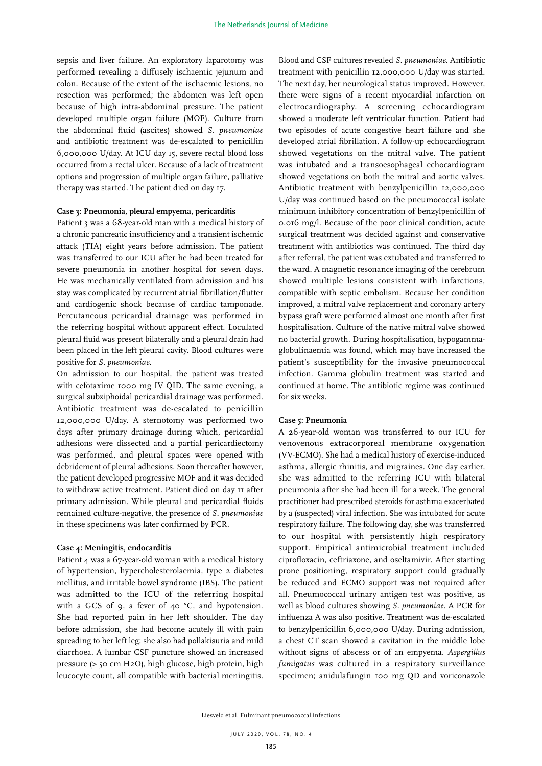sepsis and liver failure. An exploratory laparotomy was performed revealing a diffusely ischaemic jejunum and colon. Because of the extent of the ischaemic lesions, no resection was performed; the abdomen was left open because of high intra-abdominal pressure. The patient developed multiple organ failure (MOF). Culture from the abdominal fluid (ascites) showed *S. pneumoniae* and antibiotic treatment was de-escalated to penicillin 6,000,000 U/day. At ICU day 15, severe rectal blood loss occurred from a rectal ulcer. Because of a lack of treatment options and progression of multiple organ failure, palliative therapy was started. The patient died on day 17.

#### **Case 3: Pneumonia, pleural empyema, pericarditis**

Patient 3 was a 68-year-old man with a medical history of a chronic pancreatic insufficiency and a transient ischemic attack (TIA) eight years before admission. The patient was transferred to our ICU after he had been treated for severe pneumonia in another hospital for seven days. He was mechanically ventilated from admission and his stay was complicated by recurrent atrial fibrillation/flutter and cardiogenic shock because of cardiac tamponade. Percutaneous pericardial drainage was performed in the referring hospital without apparent effect. Loculated pleural fluid was present bilaterally and a pleural drain had been placed in the left pleural cavity. Blood cultures were positive for *S. pneumoniae*.

On admission to our hospital, the patient was treated with cefotaxime 1000 mg IV QID. The same evening, a surgical subxiphoidal pericardial drainage was performed. Antibiotic treatment was de-escalated to penicillin 12,000,000 U/day. A sternotomy was performed two days after primary drainage during which, pericardial adhesions were dissected and a partial pericardiectomy was performed, and pleural spaces were opened with debridement of pleural adhesions. Soon thereafter however, the patient developed progressive MOF and it was decided to withdraw active treatment. Patient died on day 11 after primary admission. While pleural and pericardial fluids remained culture-negative, the presence of *S. pneumoniae* in these specimens was later confirmed by PCR.

#### **Case 4: Meningitis, endocarditis**

Patient 4 was a 67-year-old woman with a medical history of hypertension, hypercholesterolaemia, type 2 diabetes mellitus, and irritable bowel syndrome (IBS). The patient was admitted to the ICU of the referring hospital with a GCS of 9, a fever of 40 °C, and hypotension. She had reported pain in her left shoulder. The day before admission, she had become acutely ill with pain spreading to her left leg; she also had pollakisuria and mild diarrhoea. A lumbar CSF puncture showed an increased pressure (> 50 cm H2O), high glucose, high protein, high leucocyte count, all compatible with bacterial meningitis.

Blood and CSF cultures revealed *S. pneumoniae*. Antibiotic treatment with penicillin 12,000,000 U/day was started. The next day, her neurological status improved. However, there were signs of a recent myocardial infarction on electrocardiography. A screening echocardiogram showed a moderate left ventricular function. Patient had two episodes of acute congestive heart failure and she developed atrial fibrillation. A follow-up echocardiogram showed vegetations on the mitral valve. The patient was intubated and a transoesophageal echocardiogram showed vegetations on both the mitral and aortic valves. Antibiotic treatment with benzylpenicillin 12,000,000 U/day was continued based on the pneumococcal isolate minimum inhibitory concentration of benzylpenicillin of 0.016 mg/l. Because of the poor clinical condition, acute surgical treatment was decided against and conservative treatment with antibiotics was continued. The third day after referral, the patient was extubated and transferred to the ward. A magnetic resonance imaging of the cerebrum showed multiple lesions consistent with infarctions, compatible with septic embolism. Because her condition improved, a mitral valve replacement and coronary artery bypass graft were performed almost one month after first hospitalisation. Culture of the native mitral valve showed no bacterial growth. During hospitalisation, hypogammaglobulinaemia was found, which may have increased the patient's susceptibility for the invasive pneumococcal infection. Gamma globulin treatment was started and continued at home. The antibiotic regime was continued for six weeks.

#### **Case 5: Pneumonia**

A 26-year-old woman was transferred to our ICU for venovenous extracorporeal membrane oxygenation (VV-ECMO). She had a medical history of exercise-induced asthma, allergic rhinitis, and migraines. One day earlier, she was admitted to the referring ICU with bilateral pneumonia after she had been ill for a week. The general practitioner had prescribed steroids for asthma exacerbated by a (suspected) viral infection. She was intubated for acute respiratory failure. The following day, she was transferred to our hospital with persistently high respiratory support. Empirical antimicrobial treatment included ciprofloxacin, ceftriaxone, and oseltamivir. After starting prone positioning, respiratory support could gradually be reduced and ECMO support was not required after all. Pneumococcal urinary antigen test was positive, as well as blood cultures showing *S. pneumoniae*. A PCR for influenza A was also positive. Treatment was de-escalated to benzylpenicillin 6,000,000 U/day. During admission, a chest CT scan showed a cavitation in the middle lobe without signs of abscess or of an empyema. *Aspergillus fumigatus* was cultured in a respiratory surveillance specimen; anidulafungin 100 mg QD and voriconazole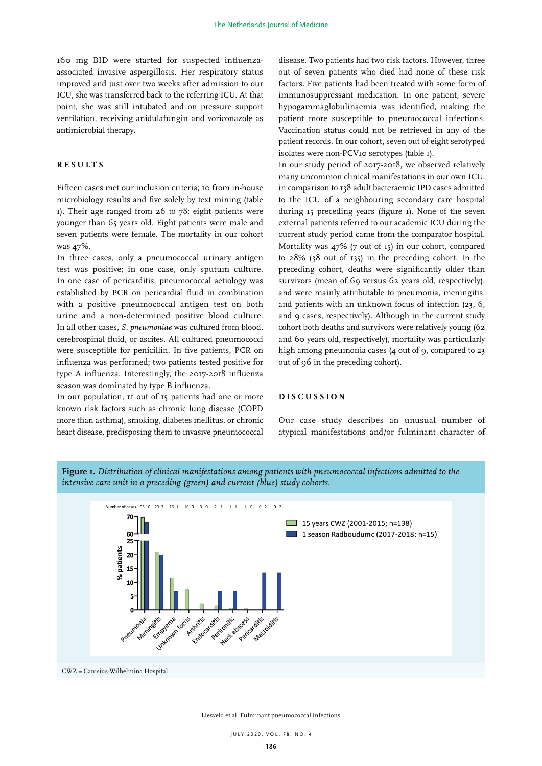160 mg BID were started for suspected influenzaassociated invasive aspergillosis. Her respiratory status improved and just over two weeks after admission to our ICU, she was transferred back to the referring ICU. At that point, she was still intubated and on pressure support ventilation, receiving anidulafungin and voriconazole as antimicrobial therapy.

# **RESULTS**

Fifteen cases met our inclusion criteria; 10 from in-house microbiology results and five solely by text mining (table  $1$ ). Their age ranged from 26 to 78; eight patients were younger than 65 years old. Eight patients were male and seven patients were female. The mortality in our cohort was 47%.

In three cases, only a pneumococcal urinary antigen test was positive; in one case, only sputum culture. In one case of pericarditis, pneumococcal aetiology was established by PCR on pericardial fluid in combination with a positive pneumococcal antigen test on both urine and a non-determined positive blood culture. In all other cases, *S. pneumoniae* was cultured from blood, cerebrospinal fluid, or ascites. All cultured pneumococci were susceptible for penicillin. In five patients, PCR on influenza was performed; two patients tested positive for type A influenza. Interestingly, the 2017-2018 influenza season was dominated by type B influenza.

In our population, 11 out of 15 patients had one or more known risk factors such as chronic lung disease (COPD more than asthma), smoking, diabetes mellitus, or chronic heart disease, predisposing them to invasive pneumococcal disease. Two patients had two risk factors. However, three out of seven patients who died had none of these risk factors. Five patients had been treated with some form of immunosuppressant medication. In one patient, severe hypogammaglobulinaemia was identified, making the patient more susceptible to pneumococcal infections. Vaccination status could not be retrieved in any of the patient records. In our cohort, seven out of eight serotyped isolates were non-PCV10 serotypes (table 1).

In our study period of 2017-2018, we observed relatively many uncommon clinical manifestations in our own ICU, in comparison to 138 adult bacteraemic IPD cases admitted to the ICU of a neighbouring secondary care hospital during 15 preceding years (figure 1). None of the seven external patients referred to our academic ICU during the current study period came from the comparator hospital. Mortality was 47% (7 out of 15) in our cohort, compared to 28% (38 out of 135) in the preceding cohort. In the preceding cohort, deaths were significantly older than survivors (mean of 69 versus 62 years old, respectively), and were mainly attributable to pneumonia, meningitis, and patients with an unknown focus of infection (23, 6, and 9 cases, respectively). Although in the current study cohort both deaths and survivors were relatively young (62 and 60 years old, respectively), mortality was particularly high among pneumonia cases (4 out of 9, compared to 23 out of 96 in the preceding cohort).

# **DISCUSSION**

Our case study describes an unusual number of atypical manifestations and/or fulminant character of



CWZ = Canisius-Wilhelmina Hospital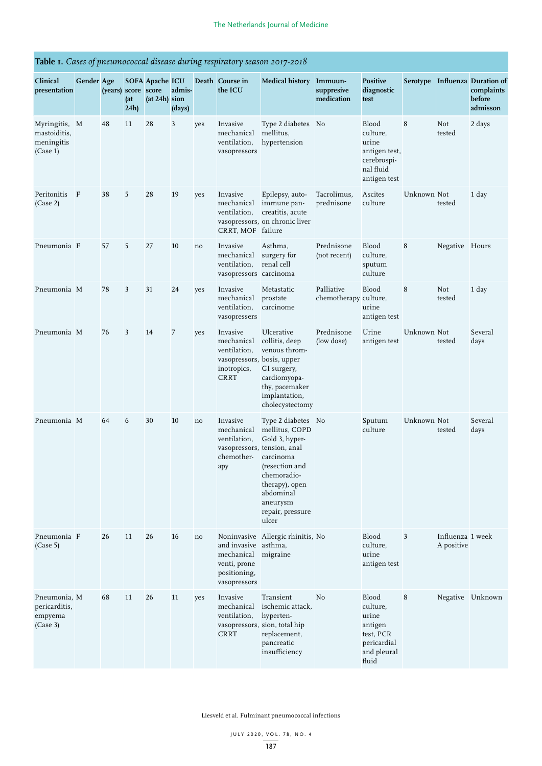# **Table 1.** *Cases of pneumococcal disease during respiratory season 2017-2018*

| Clinical<br>presentation                                | <b>Gender Age</b> | (years) score score | (at)<br>24h | <b>SOFA Apache ICU</b><br>$(at 24h)$ sion | admis-<br>(days) |     | Death Course in<br>the ICU                                                                         | <b>Medical history</b>                                                                                                                                                                                      | Immuun-<br>suppresive<br>medication | <b>Positive</b><br>diagnostic<br>test                                                          |             |                                | Serotype Influenza Duration of<br>complaints<br>before<br>admisson |
|---------------------------------------------------------|-------------------|---------------------|-------------|-------------------------------------------|------------------|-----|----------------------------------------------------------------------------------------------------|-------------------------------------------------------------------------------------------------------------------------------------------------------------------------------------------------------------|-------------------------------------|------------------------------------------------------------------------------------------------|-------------|--------------------------------|--------------------------------------------------------------------|
| Myringitis, M<br>mastoiditis,<br>meningitis<br>(Case 1) |                   | 48                  | 11          | 28                                        | 3                | yes | Invasive<br>mechanical<br>ventilation,<br>vasopressors                                             | Type 2 diabetes No<br>mellitus,<br>hypertension                                                                                                                                                             |                                     | <b>Blood</b><br>culture,<br>urine<br>antigen test,<br>cerebrospi-<br>nal fluid<br>antigen test | 8           | Not<br>tested                  | 2 days                                                             |
| Peritonitis<br>(Case 2)                                 | $\mathbf{F}$      | 38                  | 5           | 28                                        | 19               | yes | Invasive<br>mechanical<br>ventilation,<br>CRRT, MOF failure                                        | Epilepsy, auto-<br>immune pan-<br>creatitis, acute<br>vasopressors, on chronic liver                                                                                                                        | Tacrolimus,<br>prednisone           | Ascites<br>culture                                                                             | Unknown Not | tested                         | 1 day                                                              |
| Pneumonia F                                             |                   | 57                  | 5           | 27                                        | 10               | no  | Invasive<br>mechanical<br>ventilation,<br>vasopressors carcinoma                                   | Asthma,<br>surgery for<br>renal cell                                                                                                                                                                        | Prednisone<br>(not recent)          | Blood<br>culture,<br>sputum<br>culture                                                         | 8           | Negative Hours                 |                                                                    |
| Pneumonia M                                             |                   | 78                  | 3           | 31                                        | 24               | yes | Invasive<br>mechanical<br>ventilation,<br>vasopressers                                             | Metastatic<br>prostate<br>carcinome                                                                                                                                                                         | Palliative<br>chemotherapy culture, | Blood<br>urine<br>antigen test                                                                 | 8           | Not<br>tested                  | 1 day                                                              |
| Pneumonia M                                             |                   | 76                  | 3           | 14                                        | 7                | yes | Invasive<br>mechanical<br>ventilation,<br>vasopressors, bosis, upper<br>inotropics,<br><b>CRRT</b> | Ulcerative<br>collitis, deep<br>venous throm-<br>GI surgery,<br>cardiomyopa-<br>thy, pacemaker<br>implantation,<br>cholecystectomy                                                                          | Prednisone<br>(low dose)            | Urine<br>antigen test                                                                          | Unknown Not | tested                         | Several<br>days                                                    |
| Pneumonia M                                             |                   | 64                  | 6           | 30                                        | 10               | no  | Invasive<br>mechanical<br>ventilation,<br>chemother-<br>apy                                        | Type 2 diabetes No<br>mellitus, COPD<br>Gold 3, hyper-<br>vasopressors, tension, anal<br>carcinoma<br>(resection and<br>chemoradio-<br>therapy), open<br>abdominal<br>aneurysm<br>repair, pressure<br>ulcer |                                     | Sputum<br>culture                                                                              | Unknown Not | tested                         | Several<br>days                                                    |
| Pneumonia F<br>(Case 5)                                 |                   | 26                  | 11          | 26                                        | 16               | no  | and invasive asthma,<br>mechanical migraine<br>venti, prone<br>positioning,<br>vasopressors        | Noninvasive Allergic rhinitis, No                                                                                                                                                                           |                                     | Blood<br>culture,<br>urine<br>antigen test                                                     | 3           | Influenza 1 week<br>A positive |                                                                    |
| Pneumonia, M<br>pericarditis,<br>empyema<br>(Case 3)    |                   | 68                  | 11          | 26                                        | 11               | yes | Invasive<br>mechanical<br>ventilation,<br><b>CRRT</b>                                              | Transient<br>ischemic attack,<br>hyperten-<br>vasopressors, sion, total hip<br>replacement,<br>pancreatic<br>insufficiency                                                                                  | No                                  | Blood<br>culture,<br>urine<br>antigen<br>test, PCR<br>pericardial<br>and pleural<br>fluid      | 8           |                                | Negative Unknown                                                   |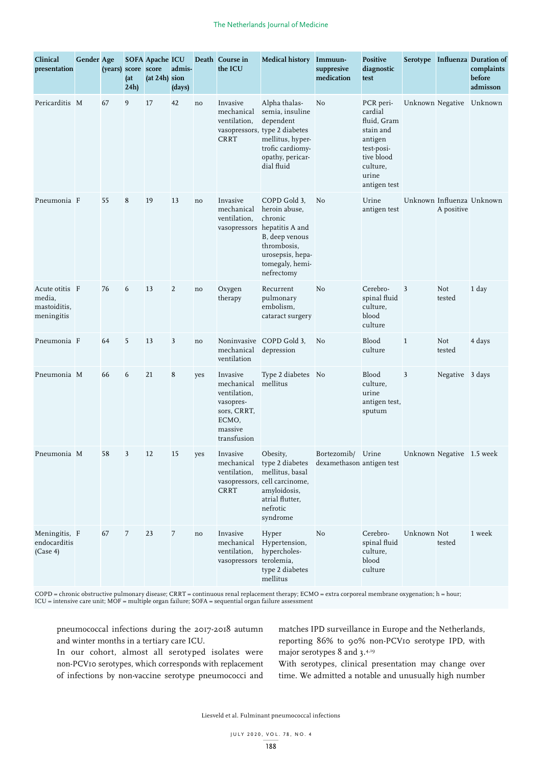| Clinical<br>presentation                               | <b>Gender Age</b> | (years) score score | (at)<br>24h    | <b>SOFA Apache ICU</b><br>(at 24h) sion | admis-<br>(days)        |     | Death Course in<br>the ICU                                                                            | <b>Medical history</b>                                                                                                                                               | Immuun-<br>suppresive<br>medication | <b>Positive</b><br>diagnostic<br>test                                                                                        |              |                           | Serotype Influenza Duration of<br>complaints<br>before<br>admisson |
|--------------------------------------------------------|-------------------|---------------------|----------------|-----------------------------------------|-------------------------|-----|-------------------------------------------------------------------------------------------------------|----------------------------------------------------------------------------------------------------------------------------------------------------------------------|-------------------------------------|------------------------------------------------------------------------------------------------------------------------------|--------------|---------------------------|--------------------------------------------------------------------|
| Pericarditis M                                         |                   | 67                  | 9              | 17                                      | 42                      | no  | Invasive<br>mechanical<br>ventilation,<br>CRRT                                                        | Alpha thalas-<br>semia, insuline<br>dependent<br>vasopressors, type 2 diabetes<br>mellitus, hyper-<br>trofic cardiomy-<br>opathy, pericar-<br>dial fluid             | No                                  | PCR peri-<br>cardial<br>fluid, Gram<br>stain and<br>antigen<br>test-posi-<br>tive blood<br>culture,<br>urine<br>antigen test |              |                           | Unknown Negative Unknown                                           |
| Pneumonia F                                            |                   | 55                  | 8              | 19                                      | 13                      | no  | Invasive<br>mechanical<br>ventilation,                                                                | COPD Gold 3,<br>heroin abuse,<br>chronic<br>vasopressors hepatitis A and<br>B, deep venous<br>thrombosis,<br>urosepsis, hepa-<br>tomegaly, hemi-<br>nefrectomy       | No                                  | Urine<br>antigen test                                                                                                        |              | A positive                | Unknown Influenza Unknown                                          |
| Acute otitis F<br>media,<br>mastoiditis,<br>meningitis |                   | 76                  | 6              | 13                                      | 2                       | no  | Oxygen<br>therapy                                                                                     | Recurrent<br>pulmonary<br>embolism,<br>cataract surgery                                                                                                              | No                                  | Cerebro-<br>spinal fluid<br>culture,<br>blood<br>culture                                                                     | 3            | Not<br>tested             | 1 day                                                              |
| Pneumonia F                                            |                   | 64                  | 5              | 13                                      | $\overline{\mathbf{3}}$ | no  | mechanical<br>ventilation                                                                             | Noninvasive COPD Gold 3,<br>depression                                                                                                                               | No                                  | <b>Blood</b><br>culture                                                                                                      | $\mathbf{1}$ | Not<br>tested             | 4 days                                                             |
| Pneumonia M                                            |                   | 66                  | 6              | 21                                      | 8                       | yes | Invasive<br>mechanical<br>ventilation,<br>vasopres-<br>sors, CRRT,<br>ECMO,<br>massive<br>transfusion | Type 2 diabetes No<br>mellitus                                                                                                                                       |                                     | <b>Blood</b><br>culture,<br>urine<br>antigen test,<br>sputum                                                                 | 3            | Negative 3 days           |                                                                    |
| Pneumonia M                                            |                   | 58                  | 3              | 12                                      | 15                      | yes | Invasive<br>mechanical<br>ventilation,<br><b>CRRT</b>                                                 | Obesity,<br>type 2 diabetes dexamethason antigen test<br>mellitus, basal<br>vasopressors, cell carcinome,<br>amyloidosis,<br>atrial flutter,<br>nefrotic<br>syndrome | Bortezomib/ Urine                   |                                                                                                                              |              | Unknown Negative 1.5 week |                                                                    |
| Meningitis, F<br>endocarditis<br>(Case 4)              |                   | 67                  | $\overline{7}$ | 23                                      | $\overline{7}$          | no  | Invasive<br>mechanical<br>ventilation,<br>vasopressors terolemia,                                     | Hyper<br>Hypertension,<br>hypercholes-<br>type 2 diabetes<br>mellitus                                                                                                | No                                  | Cerebro-<br>spinal fluid<br>culture,<br>blood<br>culture                                                                     | Unknown Not  | tested                    | 1 week                                                             |

COPD = chronic obstructive pulmonary disease; CRRT = continuous renal replacement therapy; ECMO = extra corporeal membrane oxygenation; h = hour; ICU = intensive care unit; MOF = multiple organ failure; SOFA = sequential organ failure assessment

pneumococcal infections during the 2017-2018 autumn and winter months in a tertiary care ICU.

In our cohort, almost all serotyped isolates were non-PCV10 serotypes, which corresponds with replacement of infections by non-vaccine serotype pneumococci and matches IPD surveillance in Europe and the Netherlands, reporting 86% to 90% non-PCV10 serotype IPD, with major serotypes 8 and 3.4,19

With serotypes, clinical presentation may change over time. We admitted a notable and unusually high number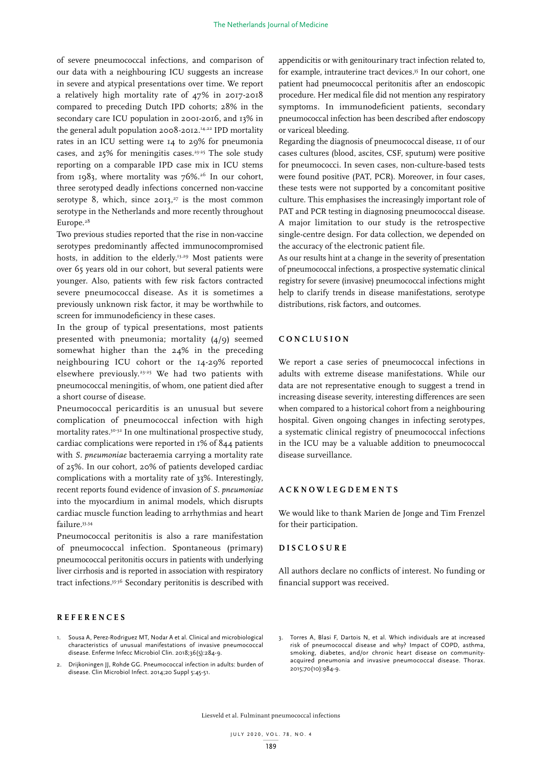of severe pneumococcal infections, and comparison of our data with a neighbouring ICU suggests an increase in severe and atypical presentations over time. We report a relatively high mortality rate of 47% in 2017-2018 compared to preceding Dutch IPD cohorts; 28% in the secondary care ICU population in 2001-2016, and 13% in the general adult population 2008-2012.14,22 IPD mortality rates in an ICU setting were 14 to 29% for pneumonia cases, and  $25\%$  for meningitis cases.<sup>23-25</sup> The sole study reporting on a comparable IPD case mix in ICU stems from 1983, where mortality was  $76\%$ .<sup>26</sup> In our cohort, three serotyped deadly infections concerned non-vaccine serotype 8, which, since  $2013$ ,<sup>27</sup> is the most common serotype in the Netherlands and more recently throughout Europe.<sup>28</sup>

Two previous studies reported that the rise in non-vaccine serotypes predominantly affected immunocompromised hosts, in addition to the elderly.<sup>13,29</sup> Most patients were over 65 years old in our cohort, but several patients were younger. Also, patients with few risk factors contracted severe pneumococcal disease. As it is sometimes a previously unknown risk factor, it may be worthwhile to screen for immunodeficiency in these cases.

In the group of typical presentations, most patients presented with pneumonia; mortality (4/9) seemed somewhat higher than the 24% in the preceding neighbouring ICU cohort or the 14-29% reported elsewhere previously.23-25 We had two patients with pneumococcal meningitis, of whom, one patient died after a short course of disease.

Pneumococcal pericarditis is an unusual but severe complication of pneumococcal infection with high mortality rates.<sup>30-32</sup> In one multinational prospective study, cardiac complications were reported in 1% of 844 patients with *S. pneumoniae* bacteraemia carrying a mortality rate of 25%. In our cohort, 20% of patients developed cardiac complications with a mortality rate of 33%. Interestingly, recent reports found evidence of invasion of *S. pneumoniae* into the myocardium in animal models, which disrupts cardiac muscle function leading to arrhythmias and heart failure.33,34

Pneumococcal peritonitis is also a rare manifestation of pneumococcal infection. Spontaneous (primary) pneumococcal peritonitis occurs in patients with underlying liver cirrhosis and is reported in association with respiratory tract infections.35-36 Secondary peritonitis is described with

# **REFERENCES**

- Sousa A, Perez-Rodriguez MT, Nodar A et al. Clinical and microbiological characteristics of unusual manifestations of invasive pneumococcal disease. Enferme Infecc Microbiol Clin. 2018;36(5):284-9.
- 2. Drijkoningen II, Rohde GG. Pneumococcal infection in adults: burden of disease. Clin Microbiol Infect. 2014;20 Suppl 5:45-51.

appendicitis or with genitourinary tract infection related to, for example, intrauterine tract devices.35 In our cohort, one patient had pneumococcal peritonitis after an endoscopic procedure. Her medical file did not mention any respiratory symptoms. In immunodeficient patients, secondary pneumococcal infection has been described after endoscopy or variceal bleeding.

Regarding the diagnosis of pneumococcal disease, 11 of our cases cultures (blood, ascites, CSF, sputum) were positive for pneumococci. In seven cases, non-culture-based tests were found positive (PAT, PCR). Moreover, in four cases, these tests were not supported by a concomitant positive culture. This emphasises the increasingly important role of PAT and PCR testing in diagnosing pneumococcal disease. A major limitation to our study is the retrospective single-centre design. For data collection, we depended on the accuracy of the electronic patient file.

As our results hint at a change in the severity of presentation of pneumococcal infections, a prospective systematic clinical registry for severe (invasive) pneumococcal infections might help to clarify trends in disease manifestations, serotype distributions, risk factors, and outcomes.

## **CONCLUSION**

We report a case series of pneumococcal infections in adults with extreme disease manifestations. While our data are not representative enough to suggest a trend in increasing disease severity, interesting differences are seen when compared to a historical cohort from a neighbouring hospital. Given ongoing changes in infecting serotypes, a systematic clinical registry of pneumococcal infections in the ICU may be a valuable addition to pneumococcal disease surveillance.

#### **ACKNOWLEGDEMENTS**

We would like to thank Marien de Jonge and Tim Frenzel for their participation.

## **DISCLOSURE**

All authors declare no conflicts of interest. No funding or financial support was received.

3. Torres A, Blasi F, Dartois N, et al. Which individuals are at increased risk of pneumococcal disease and why? Impact of COPD, asthma, smoking, diabetes, and/or chronic heart disease on communityacquired pneumonia and invasive pneumococcal disease. Thorax. 2015;70(10):984-9.